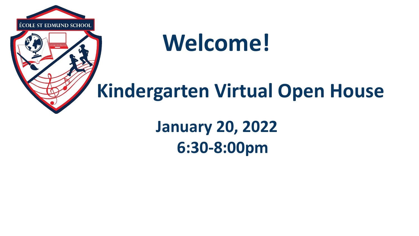

### **Welcome!**

### **Kindergarten Virtual Open House**

**January 20, 2022 6:30-8:00pm**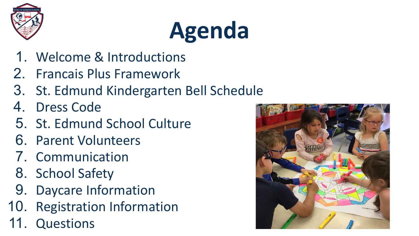

## **Agenda**

- 1. Welcome & Introductions
- 2. Francais Plus Framework
- 3. St. Edmund Kindergarten Bell Schedule
- 4. Dress Code
- 5. St. Edmund School Culture
- 6. Parent Volunteers
- 7. Communication
- 8. School Safety
- 9. Daycare Information
- 10. Registration Information
- **Questions**

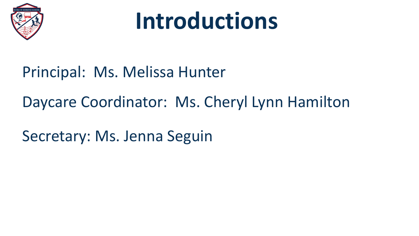

## **Introductions**

#### Principal: Ms. Melissa Hunter

#### Daycare Coordinator: Ms. Cheryl Lynn Hamilton

Secretary: Ms. Jenna Seguin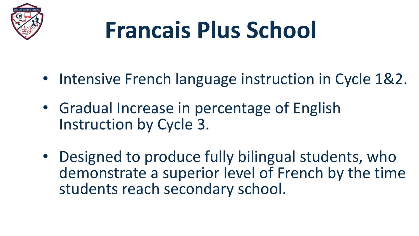

## **Francais Plus School**

- Intensive French language instruction in Cycle 1&2.
- Gradual Increase in percentage of English Instruction by Cycle 3.
- Designed to produce fully bilingual students, who demonstrate a superior level of French by the time students reach secondary school.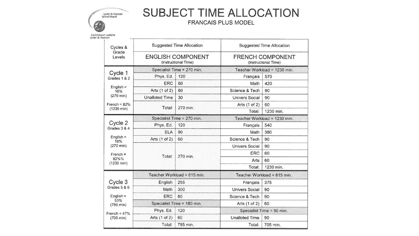

#### **SUBJECT TIME ALLOCATION**

|                                                                      |                                                  |          | <b>FRANCAIS PLUS MODEL</b>                      |           |  |
|----------------------------------------------------------------------|--------------------------------------------------|----------|-------------------------------------------------|-----------|--|
| on scolaire<br>arson                                                 |                                                  |          |                                                 |           |  |
| Cycles &<br>Grade<br>Levels                                          | <b>Suggested Time Allocation</b>                 |          | <b>Suggested Time Allocation</b>                |           |  |
|                                                                      | <b>ENGLISH COMPONENT</b><br>(Instructional Time) |          | <b>FRENCH COMPONENT</b><br>(Instructional Time) |           |  |
| Cycle 1<br>Grades 1 & 2<br>$English =$<br>18%<br>$(270 \text{ min})$ | Specialist Time = 270 min.                       |          | Teacher Workload = 1230 min.                    |           |  |
|                                                                      | Phys. Ed.                                        | 120      | Français                                        | 570       |  |
|                                                                      | ERC                                              | 60       | Math                                            | 420       |  |
|                                                                      | Arts (1 of 2)                                    | 60       | Science & Tech                                  | 90        |  |
|                                                                      | <b>Unalloted Time</b>                            | 30       | <b>Univers Social</b>                           | 90        |  |
| French = $82%$<br>$(1230 \text{ min})$                               | Total:                                           | 270 min. | Arts (1 of 2)                                   | 60        |  |
|                                                                      |                                                  |          | Total:                                          | 1230 min. |  |
| Cycle 2<br>Grades 3 & 4                                              | Specialist Time = 270 min.                       |          | Teacher Workload = 1230 min.                    |           |  |
|                                                                      | Phys. Ed.                                        | 120      | Français                                        | 540       |  |
|                                                                      | <b>ELA</b>                                       | 90       | Math                                            | 390       |  |
| $English =$<br>18%                                                   | Arts (1 of 2)                                    | 60       | Science & Tech                                  | 90        |  |
| $(270 \text{ min})$                                                  | Total:                                           | 270 min. | <b>Univers Social</b>                           | 90        |  |
| $French =$                                                           |                                                  |          | <b>ERC</b>                                      | 60        |  |
| 82%%<br>$(1230 \text{ min})$                                         |                                                  |          | Arts                                            | 60        |  |
|                                                                      |                                                  |          | Total:                                          | 1230 min. |  |
|                                                                      | Teacher Workload = 615 min.                      |          | Teacher Workload = 615 min.                     |           |  |
| Cycle 3<br>Grades 5 & 6                                              | English                                          | 255      | Français                                        | 375       |  |
|                                                                      | Math                                             | 300      | <b>Univers Social</b>                           | 90        |  |
| $English =$                                                          | <b>ERC</b>                                       | 60       | Science & Tech                                  | 90        |  |
| 53%<br>$(795 \text{ min})$                                           | Specialist Time = 180 min.                       |          | Arts (1 of 2)                                   | 60        |  |
|                                                                      | 120<br>Phys. Ed.                                 |          | Specialist Time = 90 min.                       |           |  |
| French = $47%$<br>$(705 \text{ min})$                                | Arts (1 of 2)                                    | 60       | <b>Unalloted Time</b>                           | 90        |  |
|                                                                      | Total:                                           | 795 min. | Total:                                          | 705 min.  |  |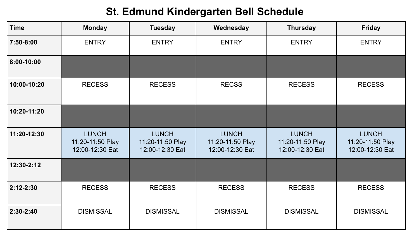#### **St. Edmund Kindergarten Bell Schedule**

| <b>Time</b> | <b>Monday</b>                                       | <b>Tuesday</b>                                      | Wednesday                                           | <b>Thursday</b>                                     | <b>Friday</b>                                       |
|-------------|-----------------------------------------------------|-----------------------------------------------------|-----------------------------------------------------|-----------------------------------------------------|-----------------------------------------------------|
| 7:50-8:00   | <b>ENTRY</b>                                        | <b>ENTRY</b>                                        | <b>ENTRY</b>                                        | <b>ENTRY</b>                                        | <b>ENTRY</b>                                        |
| 8:00-10:00  |                                                     |                                                     |                                                     |                                                     |                                                     |
| 10:00-10:20 | <b>RECESS</b>                                       | <b>RECESS</b>                                       | <b>RECSS</b>                                        | <b>RECESS</b>                                       | <b>RECESS</b>                                       |
| 10:20-11:20 |                                                     |                                                     |                                                     |                                                     |                                                     |
| 11:20-12:30 | <b>LUNCH</b><br>11:20-11:50 Play<br>12:00-12:30 Eat | <b>LUNCH</b><br>11:20-11:50 Play<br>12:00-12:30 Eat | <b>LUNCH</b><br>11:20-11:50 Play<br>12:00-12:30 Eat | <b>LUNCH</b><br>11:20-11:50 Play<br>12:00-12:30 Eat | <b>LUNCH</b><br>11:20-11:50 Play<br>12:00-12:30 Eat |
| 12:30-2:12  |                                                     |                                                     |                                                     |                                                     |                                                     |
| 2:12-2:30   | <b>RECESS</b>                                       | <b>RECESS</b>                                       | <b>RECESS</b>                                       | <b>RECESS</b>                                       | <b>RECESS</b>                                       |
| 2:30-2:40   | <b>DISMISSAL</b>                                    | <b>DISMISSAL</b>                                    | <b>DISMISSAL</b>                                    | <b>DISMISSAL</b>                                    | <b>DISMISSAL</b>                                    |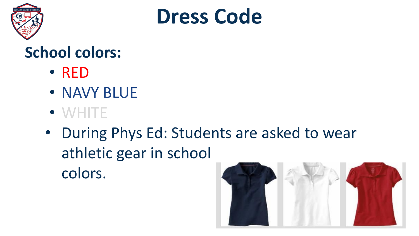



#### **School colors:**

- RED
- NAVY BLUE
- WHITE
- During Phys Ed: Students are asked to wear athletic gear in school colors.

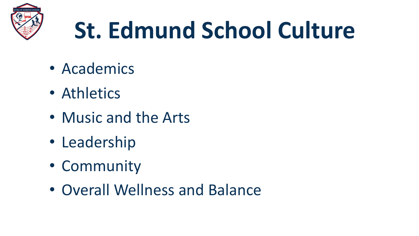

## **St. Edmund School Culture**

- Academics
- Athletics
- Music and the Arts
- Leadership
- Community
- Overall Wellness and Balance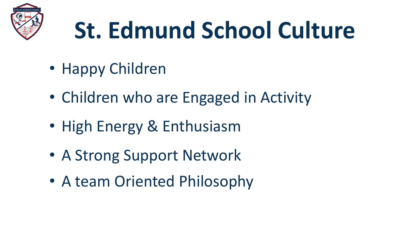

## **St. Edmund School Culture**

- Happy Children
- Children who are Engaged in Activity
- High Energy & Enthusiasm
- A Strong Support Network
- A team Oriented Philosophy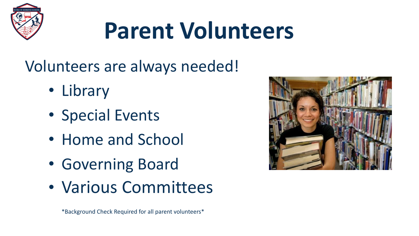

## **Parent Volunteers**

Volunteers are always needed!

- Library
- Special Events
- Home and School
- Governing Board
- Various Committees



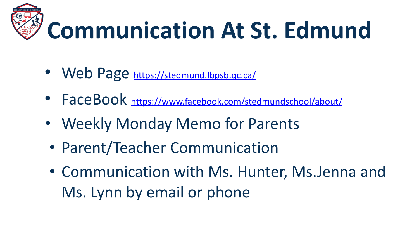

- Web Page <https://stedmund.lbpsb.qc.ca/>
- FaceBook <https://www.facebook.com/stedmundschool/about/>
- Weekly Monday Memo for Parents
- Parent/Teacher Communication
- Communication with Ms. Hunter, Ms.Jenna and Ms. Lynn by email or phone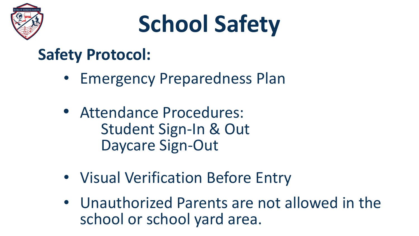

## **School Safety**

#### **Safety Protocol:**

- Emergency Preparedness Plan
- Attendance Procedures: Student Sign-In & Out Daycare Sign-Out
- Visual Verification Before Entry
- Unauthorized Parents are not allowed in the school or school yard area.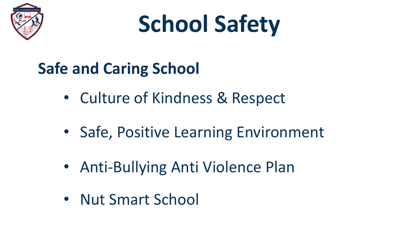

## **School Safety**

### **Safe and Caring School**

- Culture of Kindness & Respect
- Safe, Positive Learning Environment
- Anti-Bullying Anti Violence Plan
- Nut Smart School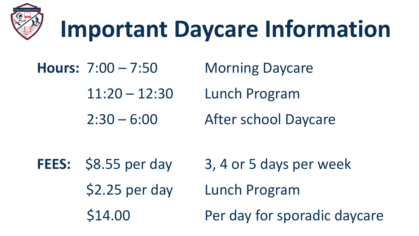

## **Important Daycare Information**

- Hours: 7:00 7:50 Morning Daycare
	- 11:20 12:30 Lunch Program
	- 2:30 6:00 After school Daycare

FEES:  $$8.55$  per day 3, 4 or 5 days per week \$2.25 per day Lunch Program \$14.00 Per day for sporadic daycare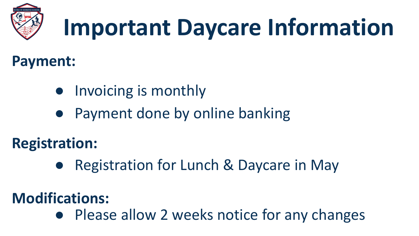

## **Important Daycare Information**

#### **Payment:**

- Invoicing is monthly
- Payment done by online banking

**Registration:**

**Registration for Lunch & Daycare in May** 

#### **Modifications:**

● Please allow 2 weeks notice for any changes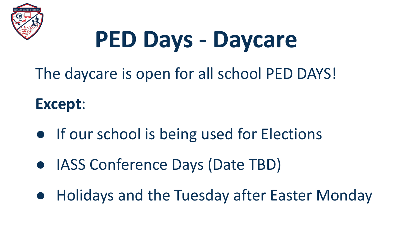

## **PED Days - Daycare**

The daycare is open for all school PED DAYS!

#### **Except**:

- If our school is being used for Elections
- IASS Conference Days (Date TBD)
- **Holidays and the Tuesday after Easter Monday**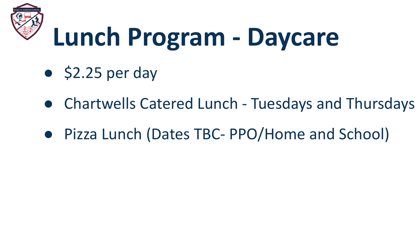

## **Lunch Program - Daycare**

- $\bullet$  \$2.25 per day
- Chartwells Catered Lunch Tuesdays and Thursdays
- Pizza Lunch (Dates TBC- PPO/Home and School)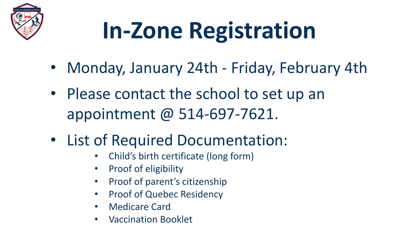

## **In-Zone Registration**

- Monday, January 24th Friday, February 4th
- Please contact the school to set up an appointment @ 514-697-7621.
- List of Required Documentation:
	- Child's birth certificate (long form)
	- Proof of eligibility
	- Proof of parent's citizenship
	- **Proof of Quebec Residency**
	- Medicare Card
	- Vaccination Booklet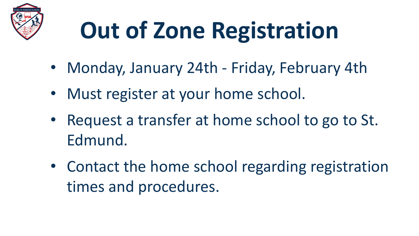

## **Out of Zone Registration**

- Monday, January 24th Friday, February 4th
- Must register at your home school.
- Request a transfer at home school to go to St. Edmund.
- Contact the home school regarding registration times and procedures.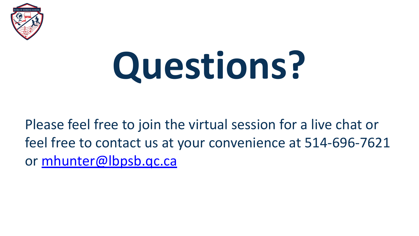

# **Questions?**

#### Please feel free to join the virtual session for a live chat or feel free to contact us at your convenience at 514-696-7621 or [mhunter@lbpsb.qc.ca](mailto:mhunter@lbpsb.qc.ca)